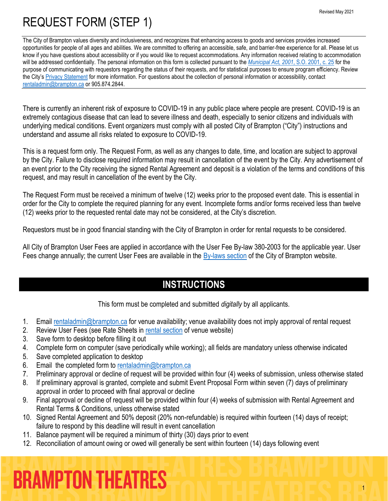The City of Brampton values diversity and inclusiveness, and recognizes that enhancing access to goods and services provides increased opportunities for people of all ages and abilities. We are committed to offering an accessible, safe, and barrier-free experience for all. Please let us know if you have questions about accessibility or if you would like to request accommodations. Any information received relating to accommodation will be addressed confidentially. The personal information on this form is collected pursuant to the *[Municipal Act, 2001](https://www.ontario.ca/laws/statute/01m25)*, S.O. 2001, c. 25 for the purpose of communicating with requestors regarding the status of their requests, and for statistical purposes to ensure program efficiency. Review the City's [Privacy Statement](http://www.brampton.ca/en/Info-Centre/Pages/Privacy-Statement.aspx) for more information. For questions about the collection of personal information or accessibility, contact [rentaladmin@brampton.ca](mailto:rentaladmin@brampton.ca) or 905.874.2844.

There is currently an inherent risk of exposure to COVID-19 in any public place where people are present. COVID-19 is an extremely contagious disease that can lead to severe illness and death, especially to senior citizens and individuals with underlying medical conditions. Event organizers must comply with all posted City of Brampton ("City") instructions and understand and assume all risks related to exposure to COVID-19.

This is a request form only. The Request Form, as well as any changes to date, time, and location are subject to approval by the City. Failure to disclose required information may result in cancellation of the event by the City. Any advertisement of an event prior to the City receiving the signed Rental Agreement and deposit is a violation of the terms and conditions of this request, and may result in cancellation of the event by the City.

The Request Form must be received a minimum of twelve (12) weeks prior to the proposed event date. This is essential in order for the City to complete the required planning for any event. Incomplete forms and/or forms received less than twelve (12) weeks prior to the requested rental date may not be considered, at the City's discretion.

Requestors must be in good financial standing with the City of Brampton in order for rental requests to be considered.

All City of Brampton User Fees are applied in accordance with the User Fee By-law 380-2003 for the applicable year. User Fees change annually; the current User Fees are available in the [By-laws section](http://www.brampton.ca/EN/City-Hall/Bylaws/Pages/Welcome.aspx) of the City of Brampton website.

## **INSTRUCTIONS**

This form must be completed and submitted *digitally* by all applicants.

- 1. Email [rentaladmin@brampton.ca](mailto:rentaladmin@brampton.ca) for venue availability; venue availability does not imply approval of rental request
- 2. Review User Fees (see Rate Sheets in [rental section](https://tickets.brampton.ca/Online/default.asp?BOparam::WScontent::loadArticle::permalink=RentTheRose&BOparam::WScontent::loadArticle::context_id=) of venue website)
- 3. Save form to desktop before filling it out
- 4. Complete form on computer (save periodically while working); all fields are mandatory unless otherwise indicated
- 5. Save completed application to desktop
- 6. Email the completed form to [rentaladmin@brampton.ca](mailto:rentaladmin@brampton.ca)
- 7. Preliminary approval or decline of request will be provided within four (4) weeks of submission, unless otherwise stated
- 8. If preliminary approval is granted, complete and submit Event Proposal Form within seven (7) days of preliminary approval in order to proceed with final approval or decline
- 9. Final approval or decline of request will be provided within four (4) weeks of submission with Rental Agreement and Rental Terms & Conditions, unless otherwise stated
- 10. Signed Rental Agreement and 50% deposit (20% non-refundable) is required within fourteen (14) days of receipt; failure to respond by this deadline will result in event cancellation
- 11. Balance payment will be required a minimum of thirty (30) days prior to event
- 12. Reconciliation of amount owing or owed will generally be sent within fourteen (14) days following event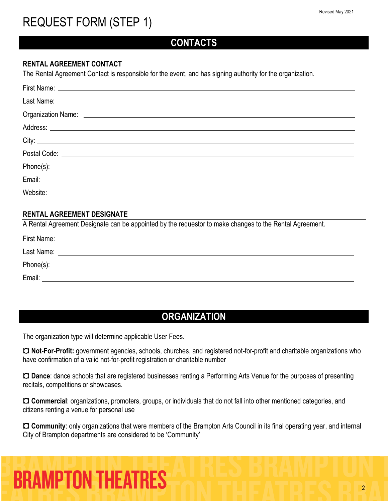### **CONTACTS**

#### **RENTAL AGREEMENT CONTACT**

The Rental Agreement Contact is responsible for the event, and has signing authority for the organization.

#### **RENTAL AGREEMENT DESIGNATE**

A Rental Agreement Designate can be appointed by the requestor to make changes to the Rental Agreement.

| First Name: |                                                                                                                      |
|-------------|----------------------------------------------------------------------------------------------------------------------|
| Last Name:  |                                                                                                                      |
| Phone(s):   | <u> 1989 - John Stein, marking and de broad and de broad and de broad and de broad and de broad and de broad and</u> |
| Email:      |                                                                                                                      |

### **ORGANIZATION**

The organization type will determine applicable User Fees.

 **Not-For-Profit:** government agencies, schools, churches, and registered not-for-profit and charitable organizations who have confirmation of a valid not-for-profit registration or charitable number

 **Dance**: dance schools that are registered businesses renting a Performing Arts Venue for the purposes of presenting recitals, competitions or showcases.

 **Commercial**: organizations, promoters, groups, or individuals that do not fall into other mentioned categories, and citizens renting a venue for personal use

 **Community**: only organizations that were members of the Brampton Arts Council in its final operating year, and internal City of Brampton departments are considered to be 'Community'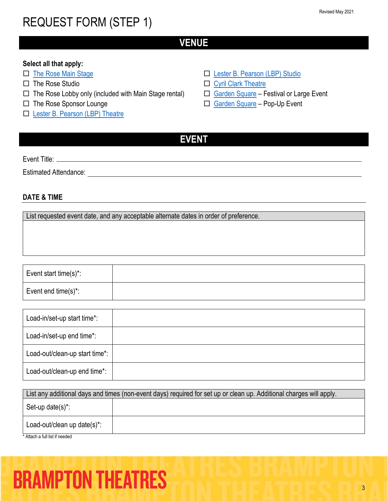### **VENUE**

#### **Select all that apply:**

- □ [The Rose Main Stage](https://tickets.brampton.ca/Online/default.asp?BOparam::WScontent::loadArticle::permalink=RentTheRose&BOparam::WScontent::loadArticle::context_id=)
- $\Box$  The Rose Studio
- $\Box$  The Rose Lobby only (included with Main Stage rental)
- □ The Rose Sponsor Lounge
- □ [Lester B. Pearson \(LBP\) Theatre](https://www.brampton.ca/EN/Arts-Culture-Tourism/Performing-Arts/LBP/Pages/Rent-LBP.aspx)
- □ [Lester B. Pearson \(LBP\) Studio](https://www.brampton.ca/EN/Arts-Culture-Tourism/Performing-Arts/LBP/Pages/Rent-LBP.aspx)
- □ [Cyril Clark Theatre](https://www.brampton.ca/EN/Arts-Culture-Tourism/Performing-Arts/Cyril-Clark/Pages/Rent-Cyril-Clark.aspx)
- □ [Garden Square](https://www.brampton.ca/EN/Arts-Culture-Tourism/garden-square/Pages/Book-the-Square.aspx) Festival or Large Event
- □ [Garden Square](https://www.brampton.ca/EN/Arts-Culture-Tourism/garden-square/Pages/Book-the-Square.aspx) Pop-Up Event
- **EVENT**

Event Title:

Estimated Attendance: \_\_\_\_\_\_\_\_\_

#### **DATE & TIME**

List requested event date, and any acceptable alternate dates in order of preference.

Event start time(s)\*: Event end time(s)\*:

| Load-in/set-up start time*:    |  |
|--------------------------------|--|
| Load-in/set-up end time*:      |  |
| Load-out/clean-up start time*: |  |
| Load-out/clean-up end time*:   |  |

|                                | List any additional days and times (non-event days) required for set up or clean up. Additional charges will apply. |
|--------------------------------|---------------------------------------------------------------------------------------------------------------------|
| Set-up date(s)*:               |                                                                                                                     |
| Load-out/clean up date(s)*:    |                                                                                                                     |
| * Attach a full list if needed |                                                                                                                     |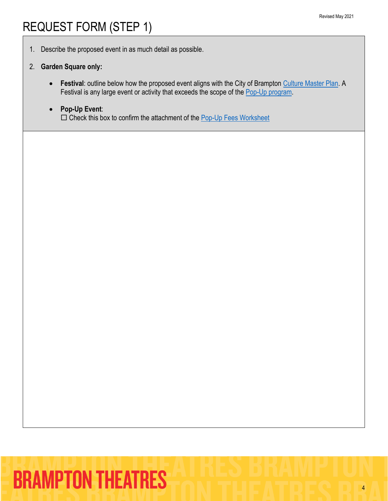1. Describe the proposed event in as much detail as possible.

#### 2. **Garden Square only:**

- **Festival**: outline below how the proposed event aligns with the City of Brampton [Culture Master Plan.](https://www.brampton.ca/EN/Arts-Culture-Tourism/CulturalSrvs/Documents/Cultural-Master-Plan/City%20of%20Brampton%20-Final%20Culture%20Master%20Plan.pdf) A Festival is any large event or activity that exceeds the scope of the [Pop-Up program.](https://www.brampton.ca/EN/Arts-Culture-Tourism/garden-square/Pages/Book-the-Square.aspx)
- **Pop-Up Event**:  $\square$  Check this box to confirm the attachment of the [Pop-Up Fees Worksheet](https://www.brampton.ca/EN/Arts-Culture-Tourism/garden-square/Pages/Book-the-Square.aspx)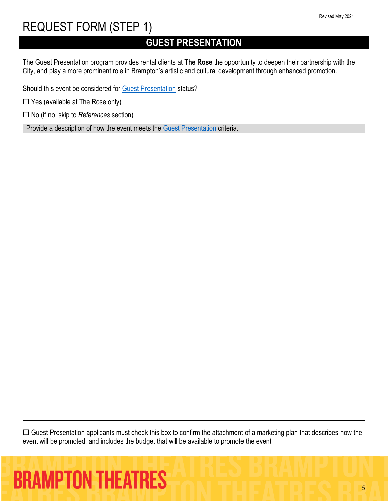## **GUEST PRESENTATION**

The Guest Presentation program provides rental clients at **The Rose** the opportunity to deepen their partnership with the City, and play a more prominent role in Brampton's artistic and cultural development through enhanced promotion.

Should this event be considered for [Guest Presentation](https://tickets.brampton.ca/content/Files/Marketing/BramptonTheatres_Guidelines_GuestPresentation.pdf) status?

 $\Box$  Yes (available at The Rose only)

No (if no, skip to *References* section)

Provide a description of how the event meets the [Guest Presentation](https://tickets.brampton.ca/content/Files/Marketing/BramptonTheatres_Guidelines_GuestPresentation.pdf) criteria.

 $\Box$  Guest Presentation applicants must check this box to confirm the attachment of a marketing plan that describes how the event will be promoted, and includes the budget that will be available to promote the event